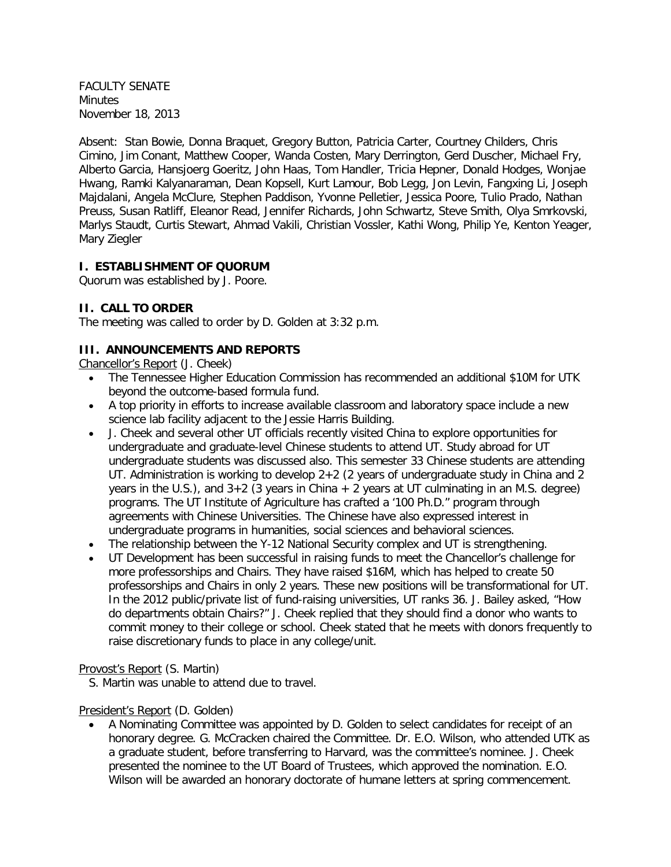FACULTY SENATE Minutes November 18, 2013

Absent: Stan Bowie, Donna Braquet, Gregory Button, Patricia Carter, Courtney Childers, Chris Cimino, Jim Conant, Matthew Cooper, Wanda Costen, Mary Derrington, Gerd Duscher, Michael Fry, Alberto Garcia, Hansjoerg Goeritz, John Haas, Tom Handler, Tricia Hepner, Donald Hodges, Wonjae Hwang, Ramki Kalyanaraman, Dean Kopsell, Kurt Lamour, Bob Legg, Jon Levin, Fangxing Li, Joseph Majdalani, Angela McClure, Stephen Paddison, Yvonne Pelletier, Jessica Poore, Tulio Prado, Nathan Preuss, Susan Ratliff, Eleanor Read, Jennifer Richards, John Schwartz, Steve Smith, Olya Smrkovski, Marlys Staudt, Curtis Stewart, Ahmad Vakili, Christian Vossler, Kathi Wong, Philip Ye, Kenton Yeager, Mary Ziegler

## **I. ESTABLISHMENT OF QUORUM**

Quorum was established by J. Poore.

## **II. CALL TO ORDER**

The meeting was called to order by D. Golden at 3:32 p.m.

# **III. ANNOUNCEMENTS AND REPORTS**

Chancellor's Report (J. Cheek)

- The Tennessee Higher Education Commission has recommended an additional \$10M for UTK beyond the outcome-based formula fund.
- A top priority in efforts to increase available classroom and laboratory space include a new science lab facility adjacent to the Jessie Harris Building.
- J. Cheek and several other UT officials recently visited China to explore opportunities for undergraduate and graduate-level Chinese students to attend UT. Study abroad for UT undergraduate students was discussed also. This semester 33 Chinese students are attending UT. Administration is working to develop 2+2 (2 years of undergraduate study in China and 2 years in the U.S.), and  $3+2$  (3 years in China  $+2$  years at UT culminating in an M.S. degree) programs. The UT Institute of Agriculture has crafted a '100 Ph.D." program through agreements with Chinese Universities. The Chinese have also expressed interest in undergraduate programs in humanities, social sciences and behavioral sciences.
- The relationship between the Y-12 National Security complex and UT is strengthening.
- UT Development has been successful in raising funds to meet the Chancellor's challenge for more professorships and Chairs. They have raised \$16M, which has helped to create 50 professorships and Chairs in only 2 years. These new positions will be transformational for UT. In the 2012 public/private list of fund-raising universities, UT ranks 36. J. Bailey asked, "How do departments obtain Chairs?" J. Cheek replied that they should find a donor who wants to commit money to their college or school. Cheek stated that he meets with donors frequently to raise discretionary funds to place in any college/unit.

#### Provost's Report (S. Martin)

S. Martin was unable to attend due to travel.

# President's Report (D. Golden)

• A Nominating Committee was appointed by D. Golden to select candidates for receipt of an honorary degree. G. McCracken chaired the Committee. Dr. E.O. Wilson, who attended UTK as a graduate student, before transferring to Harvard, was the committee's nominee. J. Cheek presented the nominee to the UT Board of Trustees, which approved the nomination. E.O. Wilson will be awarded an honorary doctorate of humane letters at spring commencement.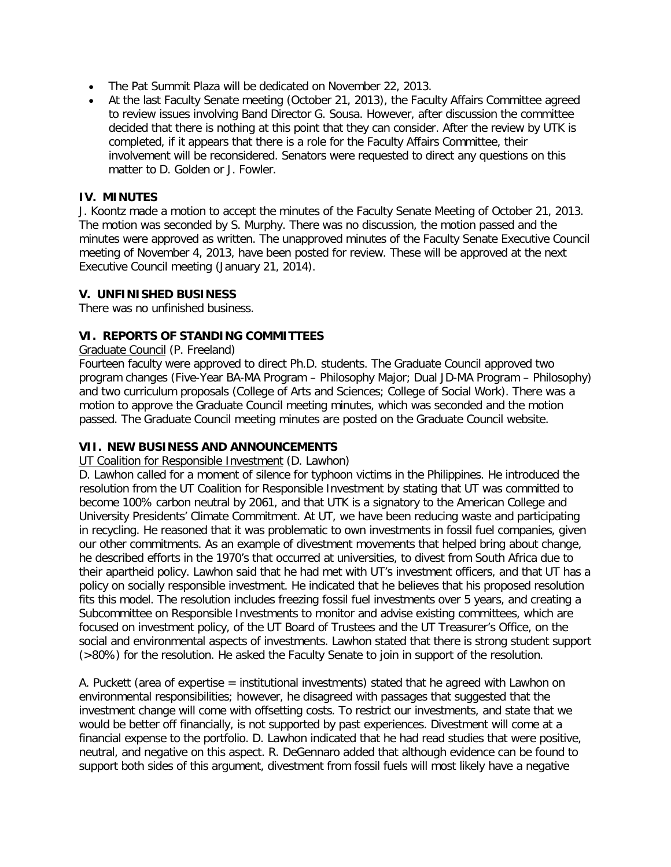- The Pat Summit Plaza will be dedicated on November 22, 2013.
- At the last Faculty Senate meeting (October 21, 2013), the Faculty Affairs Committee agreed to review issues involving Band Director G. Sousa. However, after discussion the committee decided that there is nothing at this point that they can consider. After the review by UTK is completed, if it appears that there is a role for the Faculty Affairs Committee, their involvement will be reconsidered. Senators were requested to direct any questions on this matter to D. Golden or J. Fowler.

### **IV. MINUTES**

J. Koontz made a motion to accept the minutes of the Faculty Senate Meeting of October 21, 2013. The motion was seconded by S. Murphy. There was no discussion, the motion passed and the minutes were approved as written. The unapproved minutes of the Faculty Senate Executive Council meeting of November 4, 2013, have been posted for review. These will be approved at the next Executive Council meeting (January 21, 2014).

## **V. UNFINISHED BUSINESS**

There was no unfinished business.

## **VI. REPORTS OF STANDING COMMITTEES**

#### Graduate Council (P. Freeland)

Fourteen faculty were approved to direct Ph.D. students. The Graduate Council approved two program changes (Five-Year BA-MA Program – Philosophy Major; Dual JD-MA Program – Philosophy) and two curriculum proposals (College of Arts and Sciences; College of Social Work). There was a motion to approve the Graduate Council meeting minutes, which was seconded and the motion passed. The Graduate Council meeting minutes are posted on the Graduate Council website.

#### **VII. NEW BUSINESS AND ANNOUNCEMENTS**

#### UT Coalition for Responsible Investment (D. Lawhon)

D. Lawhon called for a moment of silence for typhoon victims in the Philippines. He introduced the resolution from the UT Coalition for Responsible Investment by stating that UT was committed to become 100% carbon neutral by 2061, and that UTK is a signatory to the American College and University Presidents' Climate Commitment. At UT, we have been reducing waste and participating in recycling. He reasoned that it was problematic to own investments in fossil fuel companies, given our other commitments. As an example of divestment movements that helped bring about change, he described efforts in the 1970's that occurred at universities, to divest from South Africa due to their apartheid policy. Lawhon said that he had met with UT's investment officers, and that UT has a policy on socially responsible investment. He indicated that he believes that his proposed resolution fits this model. The resolution includes freezing fossil fuel investments over 5 years, and creating a Subcommittee on Responsible Investments to monitor and advise existing committees, which are focused on investment policy, of the UT Board of Trustees and the UT Treasurer's Office, on the social and environmental aspects of investments. Lawhon stated that there is strong student support (>80%) for the resolution. He asked the Faculty Senate to join in support of the resolution.

A. Puckett (area of expertise = institutional investments) stated that he agreed with Lawhon on environmental responsibilities; however, he disagreed with passages that suggested that the investment change will come with offsetting costs. To restrict our investments, and state that we would be better off financially, is not supported by past experiences. Divestment will come at a financial expense to the portfolio. D. Lawhon indicated that he had read studies that were positive, neutral, and negative on this aspect. R. DeGennaro added that although evidence can be found to support both sides of this argument, divestment from fossil fuels will most likely have a negative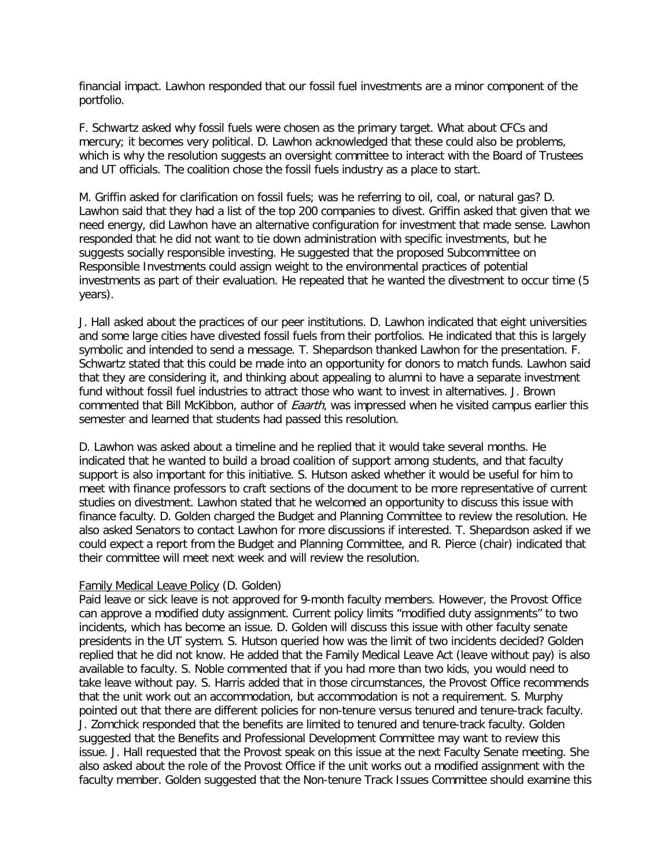financial impact. Lawhon responded that our fossil fuel investments are a minor component of the portfolio.

F. Schwartz asked why fossil fuels were chosen as the primary target. What about CFCs and mercury; it becomes very political. D. Lawhon acknowledged that these could also be problems, which is why the resolution suggests an oversight committee to interact with the Board of Trustees and UT officials. The coalition chose the fossil fuels industry as a place to start.

M. Griffin asked for clarification on fossil fuels; was he referring to oil, coal, or natural gas? D. Lawhon said that they had a list of the top 200 companies to divest. Griffin asked that given that we need energy, did Lawhon have an alternative configuration for investment that made sense. Lawhon responded that he did not want to tie down administration with specific investments, but he suggests socially responsible investing. He suggested that the proposed Subcommittee on Responsible Investments could assign weight to the environmental practices of potential investments as part of their evaluation. He repeated that he wanted the divestment to occur time (5 years).

J. Hall asked about the practices of our peer institutions. D. Lawhon indicated that eight universities and some large cities have divested fossil fuels from their portfolios. He indicated that this is largely symbolic and intended to send a message. T. Shepardson thanked Lawhon for the presentation. F. Schwartz stated that this could be made into an opportunity for donors to match funds. Lawhon said that they are considering it, and thinking about appealing to alumni to have a separate investment fund without fossil fuel industries to attract those who want to invest in alternatives. J. Brown commented that Bill McKibbon, author of *Eaarth*, was impressed when he visited campus earlier this semester and learned that students had passed this resolution.

D. Lawhon was asked about a timeline and he replied that it would take several months. He indicated that he wanted to build a broad coalition of support among students, and that faculty support is also important for this initiative. S. Hutson asked whether it would be useful for him to meet with finance professors to craft sections of the document to be more representative of current studies on divestment. Lawhon stated that he welcomed an opportunity to discuss this issue with finance faculty. D. Golden charged the Budget and Planning Committee to review the resolution. He also asked Senators to contact Lawhon for more discussions if interested. T. Shepardson asked if we could expect a report from the Budget and Planning Committee, and R. Pierce (chair) indicated that their committee will meet next week and will review the resolution.

#### Family Medical Leave Policy (D. Golden)

Paid leave or sick leave is not approved for 9-month faculty members. However, the Provost Office can approve a modified duty assignment. Current policy limits "modified duty assignments" to two incidents, which has become an issue. D. Golden will discuss this issue with other faculty senate presidents in the UT system. S. Hutson queried how was the limit of two incidents decided? Golden replied that he did not know. He added that the Family Medical Leave Act (leave without pay) is also available to faculty. S. Noble commented that if you had more than two kids, you would need to take leave without pay. S. Harris added that in those circumstances, the Provost Office recommends that the unit work out an accommodation, but accommodation is not a requirement. S. Murphy pointed out that there are different policies for non-tenure versus tenured and tenure-track faculty. J. Zomchick responded that the benefits are limited to tenured and tenure-track faculty. Golden suggested that the Benefits and Professional Development Committee may want to review this issue. J. Hall requested that the Provost speak on this issue at the next Faculty Senate meeting. She also asked about the role of the Provost Office if the unit works out a modified assignment with the faculty member. Golden suggested that the Non-tenure Track Issues Committee should examine this